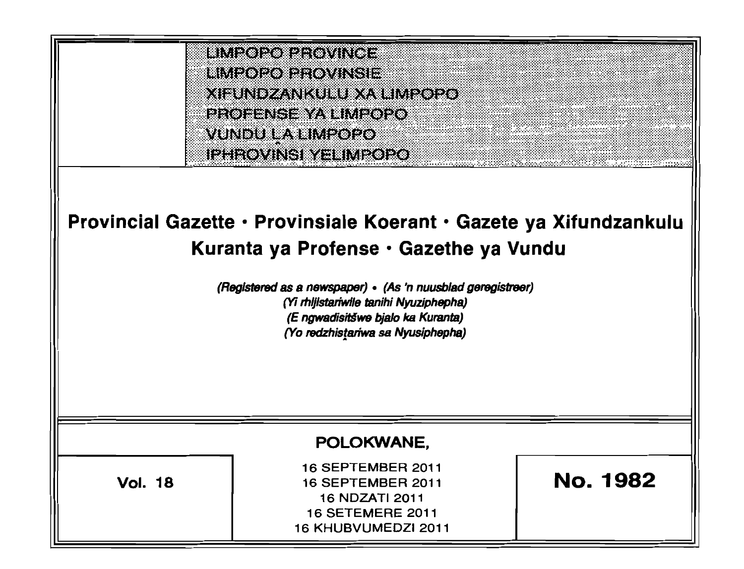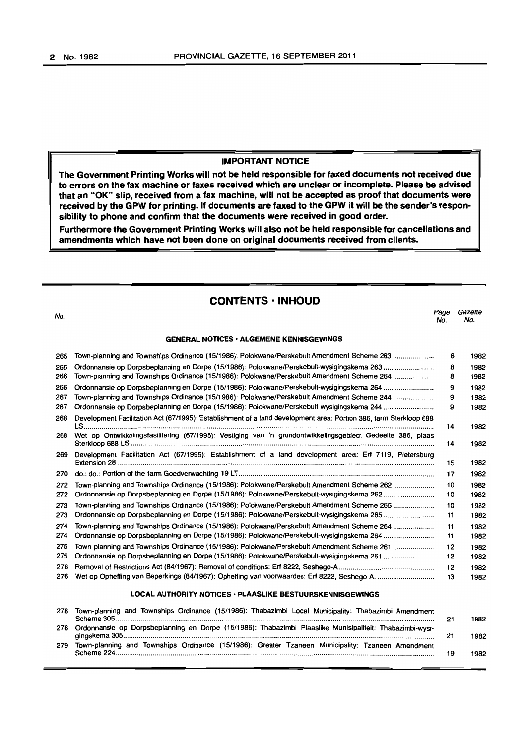#### IMPORTANT NOTICE

The Government Printing Works will not be held responsible for faxed documents not received due to errors on the fax machine or faxes received which are unclear or incomplete. Please be advised that an "OK" slip, received from a fax machine, will not be accepted as proof that documents were received by the GPW for printing. If documents are faxed to the GPW it will be the sender's responsibility to phone and confirm that the documents were received in good order.

Furthermore the Government Printing Works will also not be held responsible for cancellations and amendments which have not been done on original documents received from clients.

# CONTENTS • INHOUD

No. *Page Gazette*  No. No.

#### GENERAL NOTICES· ALGEMENE KENNISGEWINGS

| 265 | Town-planning and Townships Ordinance (15/1986): Polokwane/Perskebult Amendment Scheme 263                        | 8  | 1982 |
|-----|-------------------------------------------------------------------------------------------------------------------|----|------|
| 265 | Ordonnansie op Dorpsbeplanning en Dorpe (15/1986): Polokwane/Perskebult-wysigingskema 263                         | 8  | 1982 |
| 266 | Town-planning and Townships Ordinance (15/1986): Polokwane/Perskebult Amendment Scheme 264                        | 8  | 1982 |
| 266 | Ordonnansie op Dorpsbeplanning en Dorpe (15/1986): Polokwane/Perskebult-wysigingskema 264                         | 9  | 1982 |
| 267 | Town-planning and Townships Ordinance (15/1986): Polokwane/Perskebult Amendment Scheme 244                        | 9  | 1982 |
| 267 | Ordonnansie op Dorpsbeplanning en Dorpe (15/1986): Polokwane/Perskebult-wysigingskema 244                         |    |      |
| 268 | Development Facilitation Act (67/1995): Establishment of a land development area: Portion 386, farm Sterkloop 688 |    | 1982 |
| 268 | Wet op Ontwikkelingsfasilitering (67/1995): Vestiging van 'n grondontwikkelingsgebied: Gedeelte 386, plaas        |    | 1982 |
| 269 | Development Facilitation Act (67/1995): Establishment of a land development area: Erf 7119, Pietersburg           | 15 | 1982 |
| 270 |                                                                                                                   | 17 | 1982 |
| 272 | Town-planning and Townships Ordinance (15/1986): Polokwane/Perskebult Amendment Scheme 262                        | 10 | 1982 |
| 272 | Ordonnansie op Dorpsbeplanning en Dorpe (15/1986): Polokwane/Perskebult-wysigingskema 262                         | 10 | 1982 |
| 273 | Town-planning and Townships Ordinance (15/1986): Polokwane/Perskebult Amendment Scheme 265                        | 10 | 1982 |
| 273 | Ordonnansie op Dorpsbeplanning en Dorpe (15/1986): Polokwane/Perskebult-wysigingskema 265                         | 11 | 1982 |
| 274 | Town-planning and Townships Ordinance (15/1986): Polokwane/Perskebult Amendment Scheme 264                        | 11 | 1982 |
| 274 | Ordonnansie op Dorpsbeplanning en Dorpe (15/1986): Polokwane/Perskebult-wysigingskema 264                         | 11 | 1982 |
| 275 | Town-planning and Townships Ordinance (15/1986): Polokwane/Perskebult Amendment Scheme 261                        | 12 | 1982 |
| 275 | Ordonnansie op Dorpsbeplanning en Dorpe (15/1986): Polokwane/Perskebult-wysigingskema 261                         | 12 | 1982 |
| 276 |                                                                                                                   | 12 | 1982 |
| 276 | Wet op Opheffing van Beperkings (84/1967): Opheffing van voorwaardes: Erf 8222, Seshego-A                         | 13 | 1982 |
|     |                                                                                                                   |    |      |

#### LOCAL AUTHORITY NOTICES · PLAASLIKE BESTUURSKENNISGEWINGS

| 278 | Town-planning and Townships Ordinance (15/1986): Thabazimbi Local Municipality: Thabazimbi Amendment     |  | 1982 |  |
|-----|----------------------------------------------------------------------------------------------------------|--|------|--|
| 278 | Ordonnansie op Dorpsbeplanning en Dorpe (15/1986): Thabazimbi Plaaslike Munisipaliteit: Thabazimbi-wysi- |  |      |  |
| 279 | Town-planning and Townships Ordinance (15/1986): Greater Tzaneen Municipality: Tzaneen Amendment         |  | 1982 |  |
|     | Scheme 224                                                                                               |  | 1982 |  |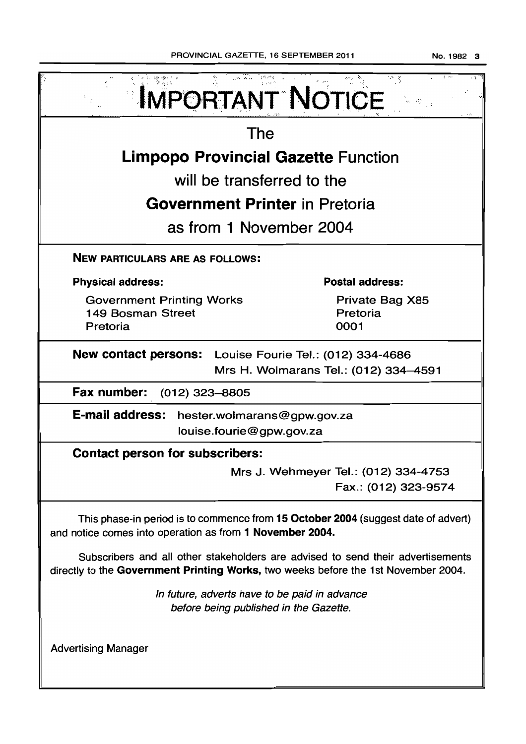| <b>IMPORTANT NOTICE</b>                                                                                                                                               |                                                              |  |  |  |  |
|-----------------------------------------------------------------------------------------------------------------------------------------------------------------------|--------------------------------------------------------------|--|--|--|--|
| The                                                                                                                                                                   |                                                              |  |  |  |  |
| <b>Limpopo Provincial Gazette Function</b>                                                                                                                            |                                                              |  |  |  |  |
| will be transferred to the                                                                                                                                            |                                                              |  |  |  |  |
| <b>Government Printer in Pretoria</b>                                                                                                                                 |                                                              |  |  |  |  |
| as from 1 November 2004                                                                                                                                               |                                                              |  |  |  |  |
| <b>NEW PARTICULARS ARE AS FOLLOWS:</b>                                                                                                                                |                                                              |  |  |  |  |
| <b>Physical address:</b>                                                                                                                                              | <b>Postal address:</b>                                       |  |  |  |  |
| <b>Government Printing Works</b><br>149 Bosman Street<br>Pretoria                                                                                                     | Private Bag X85<br>Pretoria<br>0001                          |  |  |  |  |
| New contact persons: Louise Fourie Tel.: (012) 334-4686<br>Mrs H. Wolmarans Tel.: (012) 334-4591                                                                      |                                                              |  |  |  |  |
| Fax number:<br>$(012)$ 323-8805                                                                                                                                       |                                                              |  |  |  |  |
| <b>E-mail address:</b><br>hester.wolmarans@gpw.gov.za<br>louise.fourie@gpw.gov.za                                                                                     |                                                              |  |  |  |  |
| <b>Contact person for subscribers:</b>                                                                                                                                |                                                              |  |  |  |  |
|                                                                                                                                                                       | Mrs J. Wehmeyer Tel.: (012) 334-4753<br>Fax.: (012) 323-9574 |  |  |  |  |
| This phase-in period is to commence from 15 October 2004 (suggest date of advert)<br>and notice comes into operation as from 1 November 2004.                         |                                                              |  |  |  |  |
| Subscribers and all other stakeholders are advised to send their advertisements<br>directly to the Government Printing Works, two weeks before the 1st November 2004. |                                                              |  |  |  |  |
| In future, adverts have to be paid in advance<br>before being published in the Gazette.                                                                               |                                                              |  |  |  |  |
| <b>Advertising Manager</b>                                                                                                                                            |                                                              |  |  |  |  |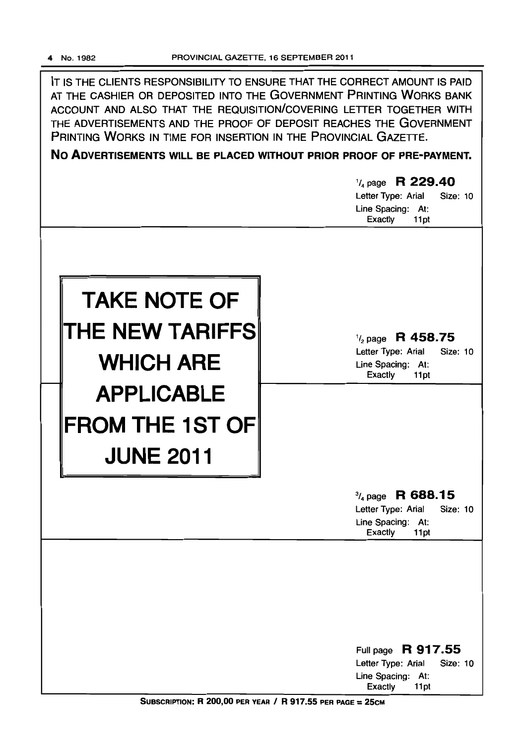IT IS THE CLIENTS RESPONSIBILITY TO ENSURE THAT THE CORRECT AMOUNT IS PAID AT THE CASHIER OR DEPOSITED INTO THE GOVERNMENT PRINTING WORKS BANK ACCOUNT AND ALSO THAT THE REQUISITION/COVERING LETTER TOGETHER WITH THE ADVERTISEMENTS AND THE PROOF OF DEPOSIT REACHES THE GOVERNMENT PRINTING WORKS IN TIME FOR INSERTION IN THE PROVINCIAL GAZETTE.

No ADVERTISEMENTS WILL BE PLACED WITHOUT PRIOR PROOF OF PRE-PAYMENT.



SUBSCRIPTION: R 200,00 PER YEAR / R 917.55 PER PAGE =  $25cm$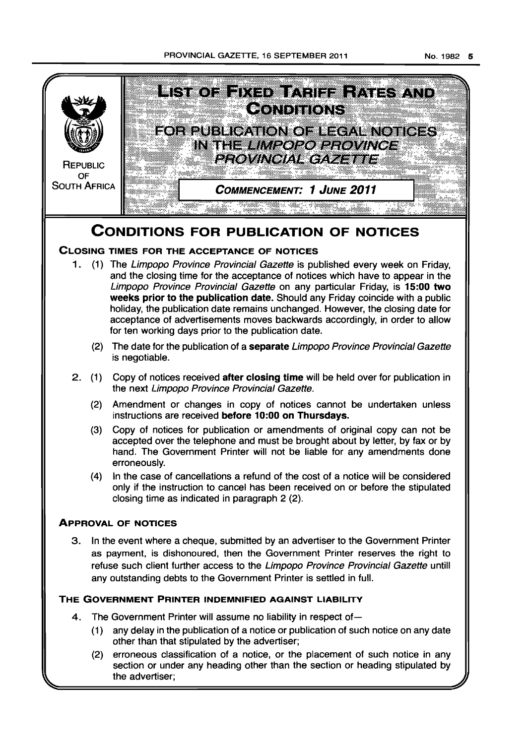PROVINCIAL GAZETTE, 16 SEPTEMBER 2011



(4) In the case of cancellations a refund of the cost of a notice will be considered only if the instruction to cancel has been received on or before the stipulated closing time as indicated in paragraph 2 (2).

# **ApPROVAL OF NOTICES**

3. In the event where a cheque, submitted by an advertiser to the Government Printer as payment, is dishonoured, then the Government Printer reserves the right to refuse such client further access to the Limpopo Province Provincial Gazette untill any outstanding debts to the Government Printer is settled in full.

# **THE GOVERNMENT PRINTER INDEMNIFIED AGAINST LIABILITY**

- 4. The Government Printer will assume no liability in respect of-
	- (1) any delay in the publication of a notice or publication of such notice on any date other than that stipulated by the advertiser;
	- (2) erroneous classification of a notice, or the placement of such notice in any section or under any heading other than the section or heading stipulated by the advertiser;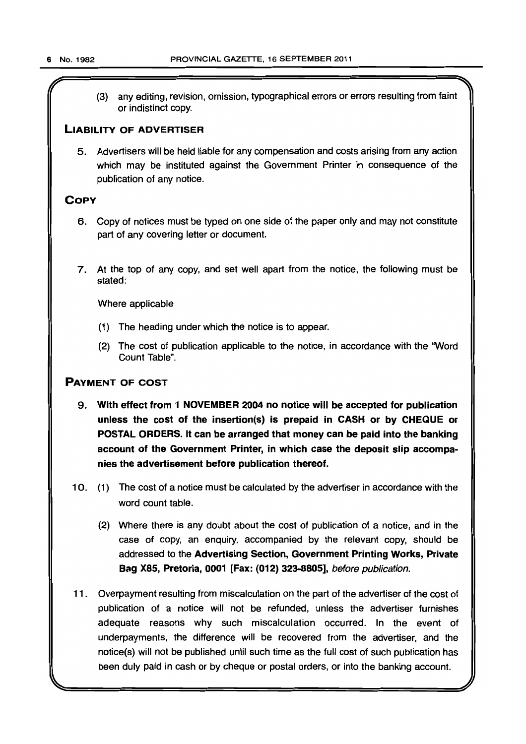(3) any editing, revision, omission, typographical errors or errors resulting from faint or indistinct copy.

### LIABILITY OF ADVERTISER

5. Advertisers will be held liable for any compensation and costs arising from any action which may be instituted against the Government Printer in consequence of the publication of any notice.

# **COPY**

- 6. Copy of notices must be typed on one side of the paper only and may not constitute part of any covering letter or document.
- 7. At the top of any copy, and set well apart from the notice, the following must be stated:

Where applicable

- (1) The heading under which the notice is to appear.
- (2) The cost of publication applicable to the notice, in accordance with the 'Word Count Table".

# PAYMENT OF COST

- 9. With effect from 1 NOVEMBER 2004 no notice will be accepted for publication unless the cost of the insertion(s) is prepaid in CASH or by CHEQUE or POSTAL ORDERS. It can be arranged that money can be paid into the banking account of the Government Printer, in which case the deposit slip accompanies the advertisement before publication thereof.
- 10. (1) The cost of a notice must be calculated by the advertiser in accordance with the word count table.
	- (2) Where there is any doubt about the cost of publication of a notice, and in the case of copy, an enquiry, accompanied by the relevant copy, should be addressed to the Advertising Section, Government Printing Works, Private Bag X85, Pretoria, 0001 [Fax: (012) 323-8805], before publication.
- 11. Overpayment resulting from miscalculation on the part of the advertiser of the cost of publication of a notice will not be refunded, unless the advertiser furnishes adequate reasons why such miscalculation occurred. In the event of underpayments, the difference will be recovered from the advertiser, and the notice(s) will not be published until such time as the full cost of such publication has been duly paid in cash or by cheque or postal orders, or into the banking account.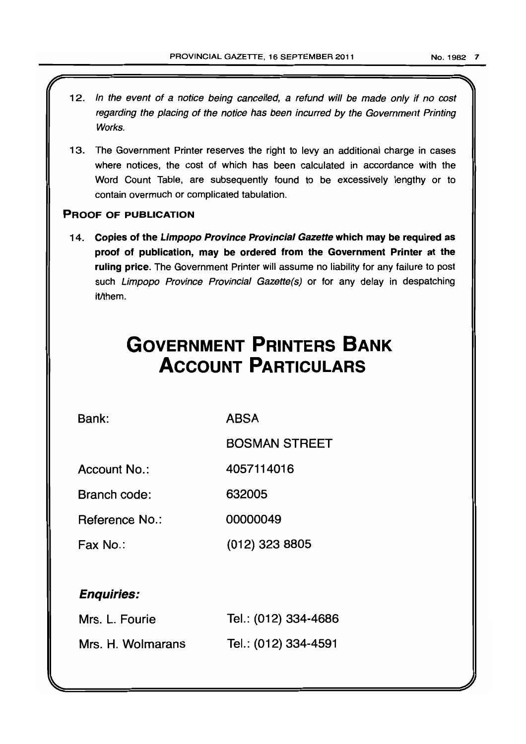- 12. In the event of a notice being cancelled, a refund will be made only if no cost regarding the placing of the notice has been incurred by the Government Printing Works.
- 13. The Government Printer reserves the right to levy an additional charge in cases where notices, the cost of which has been calculated in accordance with the Word Count Table, are subsequently found to be excessively lengthy or to contain overmuch or complicated tabulation.

# PROOF OF PUBLICATION

14. Copies of the Limpopo Province Provincial Gazette which may be required as proof of publication, may be ordered from the Government Printer at the ruling price. The Government Printer will assume no liability for any failure to post such Limpopo Province Provincial Gazette(s) or for any delay in despatching it/them.

# **GOVERNMENT PRINTERS BANK ACCOUNT PARTICULARS**

Bank:

ABSA

BOSMAN STREET

Account No.: 4057114016

Branch code: 632005

Reference No.: 00000049

Fax No.: (012) 323 8805

# Enquiries:

| Mrs. L. Fourie    | Tel.: (012) 334-4686 |
|-------------------|----------------------|
| Mrs. H. Wolmarans | Tel.: (012) 334-4591 |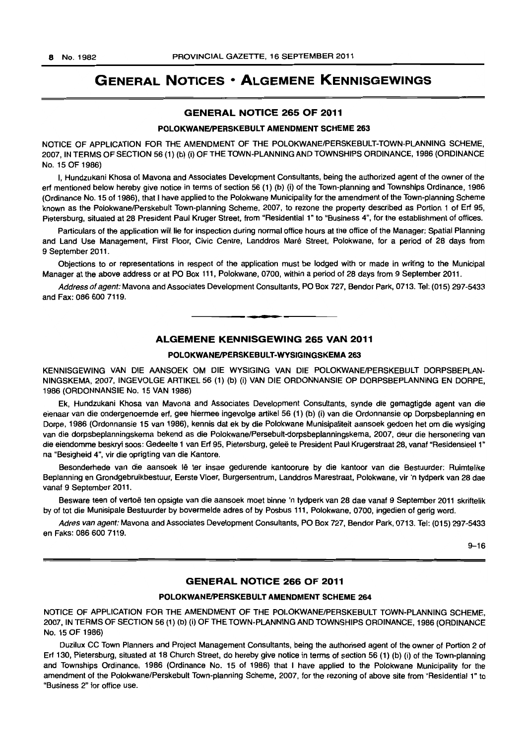# **GENERAL NOTICES • ALGEMENE KENNISGEWINGS**

#### **GENERAL NOTICE 265 OF 2011**

#### **POLOKWANEJPERSKEBULT AMENDMENT SCHEME 263**

NOTICE OF APPLICATION FOR THE AMENDMENT OF THE POLOKWANE/PERSKEBULT-TOWN-PLANNING SCHEME, 2007, IN TERMS OF SECTION 56 (1) (b) (i) OF THE TOWN-PLANNING AND TOWNSHIPS ORDINANCE, 1986 (ORDINANCE No. 15 OF 1986)

I, Hundzukani Khosa of Mavona and Associates Development Consultants, being the authorized agent of the owner of the erf mentioned below hereby give notice in terms of section 56 (1) (b) (i) of the Town-planning and Townships Ordinance, 1986 (Ordinance No. 15 of 1986), that I have applied to the Polokwane Municipality for the amendment of the Town-planning Scheme known as the Polokwane/Perskebult Town-planning Scheme, 2007, to rezone the property described as Portion 1 of Erf 95, Pietersburg, situated at 28 President Paul Kruger Street, from "Residential 1" to "Business 4", for the establishment of offices.

Particulars of the application will lie for inspection during normal office hours at the office of the Manager: Spatial Planning and Land Use Management, First Floor, Civic Centre, Landdros Maré Street, Polokwane, for a period of 28 days from 9 September 2011.

Objections to or representations in respect of the application must be lodged with or made in writing to the Municipal Manager at the above address or at PO Box 111, Polokwane, 0700, within a period of 28 days from 9 September 2011.

Address of agent: Mavona and Associates Development Consultants, PO Box 727, Bendor Park, 0713. Tel: (015) 297-5433 and Fax: 086 600 7119.

#### **ALGEMENE KENNISGEWING 265 VAN 2011**

**• ••** 

#### **POLOKWANEJPERSKEBULT-WYSIGINGSKEMA 263**

KENNISGEWING VAN DIE AANSOEK OM DIE WYSIGING VAN DIE POLOKWANE/PERSKEBULT DORPSBEPLAN-NINGSKEMA, 2007, INGEVOLGE ARTIKEL 56 (1) (b) (i) VAN DIE ORDONNANSIE OP DORPSBEPLANNING EN DORPE, 1986 (ORDONNANSIE No. 15 VAN 1986)

Ek, Hundzukani Khosa van Mavona and Associates Development Consultants, synde die gemagtigde agent van die eienaar van die ondergenoemde erf, gee hiermee ingevolge artikel 56 (1) (b) (i) van die Ordonnansie op Dorpsbeplanning en Dorpe, 1986 (Ordonnansie 15 van 1986), kennis dat ek by die Polokwane Munisipaliteit aansoek gedoen het om die wysiging van die dorpsbeplanningskema bekend as die Polokwane/Persebult-dorpsbeplanningskema, 2007, deur die hersonering van die eiendomme beskryf soos: Gedeelte 1 van Erf 95. Pietersburg, gelee te President Paul Krugerstraat 28, vanaf "Residensieel 1" na "Besigheid 4~, vir die oprigting van die Kantore.

Besonderhede van die aansoek lê ter insae gedurende kantoorure by die kantoor van die Bestuurder: Ruimtelike Beplanning en Grondgebruikbestuur, Eerste Vloer, Burgersentrum, Landdros Marestraat, Polokwane, vir 'n tydperk van 28 dae vanaf 9 September 2011.

Besware teen of vertoe ten opsigte van die aansoek moet binne 'n tydperk van 28 dae vanaf 9 September 2011 skriftelik by of tot die Munisipale Bestuurder by bovermelde adres of by Posbus 111. Polokwane, 0700, ingedien of gerig word.

Adres van agent: Mavona and Associates Development Consultants, PO Box 727, Bendor Park, 0713. Tel: (015) 297-5433 en Faks: 086 600 7119.

9-16

#### **GENERAL NOTICE 266 OF 2011**

#### **POLOKWANEJPERSKEBULT AMENDMENT SCHEME 264**

NOTICE OF APPLICATION FOR THE AMENDMENT OF THE POLOKWANE/PERSKEBULT TOWN-PLANNING SCHEME. 2007, IN TERMS OF SECTION 56 (1) (b) (I) OF THE TOWN-PLANNING AND TOWNSHIPS ORDINANCE, 1986 (ORDINANCE No. 15 OF 1986)

Duzilux CC Town Planners and Project Management Consultants, being the authorised agent of the owner of Portion 2 of Erf 130, Pietersburg. situated at 18 Church Street, do hereby give notice in terms of section 56 (1) (b) (i) of the Town-planning and Townships Ordinance. 1986 (Ordinance No. 15 of 1986) that I have applied to the Polokwane Municipality for the amendment of the Polokwane/Perskebult Town-planning Scheme, 2007, for the rezoning of above site from "Residential 1" to "Business 2" for office use.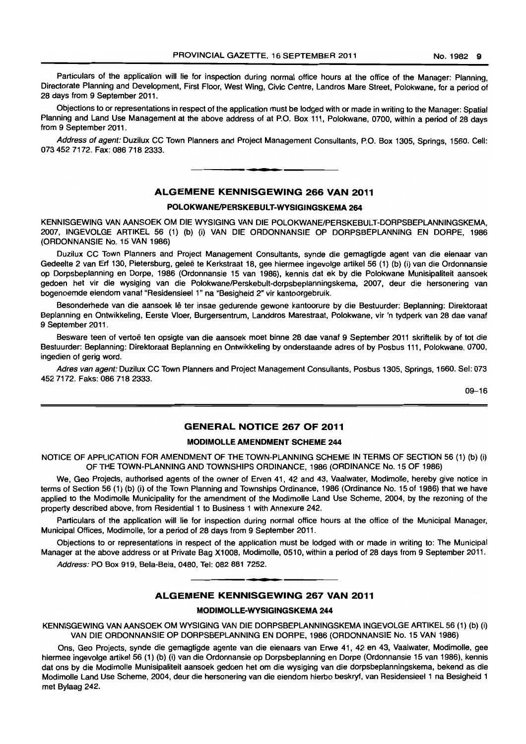Particulars of the application will lie for inspection during normal office hours at the office of the Manager: Planning, Directorate Planning and Development, First Floor. West Wing, Civic Centre, Landros Mare Street, Polokwane, for a period of 28 days from 9 September 2011.

Objections to or representations in respect of the application must be lodged with or made in writing to the Manager: Spatial Planning and Land Use Management at the above address of at P.O. Box 111, Polokwane, 0700, within a period of 28 days from 9 September 2011.

Address of agent: Duzilux CC Town Planners and Project Management Consultants, P.O. Box 1305, Springs, 1560. Cell: 073 452 7172. Fax: 086 718 2333. . **- .** 

#### **ALGEMENE KENNISGEWING 266 VAN 2011**

#### **POLOKWANEIPERSKEBULT-WYSIGINGSKEMA 264**

KENNISGEWING VAN AANSOEK OM DIE WYSIGING VAN DIE POLOKWANEIPERSKEBUlT-DORPSBEPLANNINGSKEMA, 2007, INGEVOLGE ARTIKEL 56 (1) (b) (i) VAN DIE ORDONNANSIE OP DORPSBEPLANNING EN DORPE, 1986 (ORDONNANSIE No. 15 VAN 1986)

Duzilux CC Town Planners and Project Management Consultants, synde die gemagtigde agent van die eienaar van Gedeelte 2 van Erf 130, Pietersburg, geleë te Kerkstraat 18, gee hiermee ingevolge artikel 56 (1) (b) (i) van die Ordonnansie op Dorpsbeplanning en Dorpe, 1986 (Ordonnansie 15 van 1986), kennis dat ek by die Polokwane Munisipaliteit aansoek gedoen het vir die wysiging van die Polokwane/Perskebult-dorpsbeplanningskema, 2007, deur die hersonering van bogenoemde eiendom vanaf "Residensieel 1" na "Besigheid 2" vir kantoorgebruik.

Besonderhede van die aansoek lê ter insae gedurende gewone kantoorure by die Bestuurder: Beplanning: Direktoraat Beplanning en Ontwikkeling, Eerste Vloer, Burgersentrum, Landdros Marestraat, Polokwane, vir 'n tydperk van 28 dae vanaf 9 September 2011.

Besware teen of vertoë ten opsigte van die aansoek moet binne 28 dae vanaf 9 September 2011 skriftelik by of tot die Bestuurder: Beplanning: Direktoraat Beplanning en Ontwikkeling by onderstaande adres of by Posbus 111, Polokwane, 0700, ingedien of gerig word.

Adres van agent: Duzilux CC Town Planners and Project Management Consultants, Posbus 1305, Springs, 1560. Sel: 073 4527172. Faks: 0867182333.

09-16

# **GENERAL NOTICE 267 OF 2011**

#### **MODIMOLLE AMENDMENT SCHEME 244**

NOTICE OF APPLICATION FOR AMENDMENT OF THE TOWN-PLANNING SCHEME IN TERMS OF SECTION 56 (1) (b) (i) OF THE TOWN-PLANNING AND TOWNSHIPS ORDINANCE, 1986 (ORDINANCE No. 15 OF 1986)

We, Geo Projects, authorised agents of the owner of Erven 41, 42 and 43, Vaalwater, Modimolle, hereby give notice in terms of Section 56 (1) (b) (i) of the Town Planning and Townships Ordinance, 1986 (Ordinance No. 15 of 1986) that we have applied to the Modimolle Municipality for the amendment of the Modimolle Land Use Scheme, 2004, by the rezoning of the property described above, from Residential 1 to Business 1 with Annexure 242.

Particulars of the application will lie for inspection during normal office hours at the office of the Municipal Manager, Municipal Offices, Modimolle, for a period of 28 days from 9 September 2011.

Objections to or representations in respect of the application must be lodged with or made in writing to: The Municipal Manager at the above address or at Private Bag X1008, Modimolle, 0510, within a period of 28 days from 9 September 2011.

Address: PO Box 919, Bela-Bela, 0480, Tel: 082 881 7252 . **. -**

#### **ALGEMENE KENNISGEWING 267 VAN 2011**

#### **MODIMOLLE·WYSIGINGSKEMA 244**

KENNISGEWING VAN AANSOEK OM WYSIGING VAN DIE DORPSBEPLANNINGSKEMA INGEVOLGE ARTIKEL 56 (1) (b) (i) VAN DIE ORDONNANSIE OP DORPSBEPLANNING EN DORPE, 1986 (ORDONNANSIE No. 15 VAN 1986)

Ons, Geo Projects, synde die gemagtigde agente van die eienaars van Erwe 41, 42 en 43, Vaalwater, Modimolle, gee hiermee ingevolge artikel 56 (1) (b) (i) van die Ordonnansie op Dorpsbeplanning en Dorpe (Ordonnansie 15 van 1986), kennis dat ons by die Modimolle Munisipaliteit aansoek gedoen het om die wysiging van die dorpsbeplanningskema, bekend as die Modimolle Land Use Scheme, 2004, deur die hersonering van die eiendom hierbo beskryf, van Residensieel 1 na Besigheid 1 met Bylaag 242.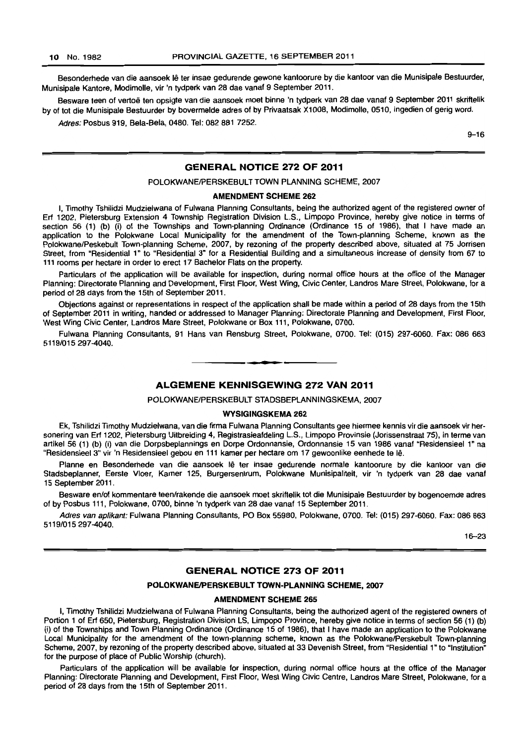Besonderhede van die aansoek lê ter insae gedurende gewone kantoorure by die kantoor van die Munisipale Bestuurder, Munisipale Kantore, Modimolle, vir 'n tydperk van 28 dae vanaf 9 September 2011.

Besware teen of vertoë ten opsigte van die aansoek moet binne 'n tydperk van 28 dae vanaf 9 September 2011 skriftelik by of tot die Munisipale Bestuurder by bovermelde adres of by Privaatsak X1008, Modimolle, 0510, ingedien of gerig word.

Adres: Posbus 919, Bela-Bela, 0480. Tel: 082 881 7252.

 $9 - 16$ 

#### GENERAL NOTICE 272 OF 2011

#### POLOKWANE/PERSKEBULT TOWN PLANNING SCHEME, 2007

#### AMENDMENT SCHEME 262

I, Timothy Tshilidzi Mudzielwana of Fulwana Planning Consultants, being the authorized agent of the registered owner of Erf 1202, Pietersburg Extension 4 Township Registration Division LS., Limpopo Province, hereby give notice in terms of section 56 (1) (b) (i) of the Townships and Town-planning Ordinance (Ordinance 15 of 1986), that I have made an application to the Polokwane Local Municipality for the amendment of the Town-planning Scheme, known as the Polokwane/Peskebult Town-planning Scheme, 2007, by rezoning of the property described above, situated at 75 Jorrisen Street, from "Residential 1" to "Residential 3" for a Residential Building and a simultaneous increase of density from 67 to 111 rooms per hectare in order to erect 17 Bachelor Flats on the property.

Particulars of the application will be available for inspection, during normal office hours at the office of the Manager Planning: Directorate Planning and Development, First Floor, West Wing, Civic Center, Landros Mare Street, Polokwane, for a period of 28 days from the 15th of September 2011.

Objections against or representations in respect of the application shall be made within a period of 28 days from the 15th of September 2011 in writing, handed or addressed to Manager Planning: Directorate Planning and Development, First Floor, West Wing Civic Center, Landros Mare Street, Polokwane or Box 111, Polokwane, 0700.

Fulwana Planning Consultants, 91 Hans van Rensburg Street, Polokwane, 0700. Tel: (015) 297-6060. Fax: 086 663 5119/015297-4040.

#### ALGEMENE KENNISGEWING 272 VAN 2011

• **• I** 

POLOKWANE/PERSKEBULT STADSBEPLANNINGSKEMA, 2007

#### WYSIGINGSKEMA 262

Ek, Tshilidzi Timothy Mudzielwana, van die firma Fulwana Planning Consultants gee hiermee kennis vir die aansoek vir hersonering van Erf 1202, Pietersburg Uitbreiding 4, Registrasieafdeling L.S., Limpopo Provinsie (Jorissenstraat 75), in terme van artikel 56 (1) (b) (i) van die Dorpsbeplannings en Dorpe Ordonnansie, Ordonnansie 15 van 1986 vanaf "Residensieel 1" na "Residensieel 3" vir 'n Residensieel gebou en 111 kamer per hectare om 17 gewoonlike eenhede te lê.

Planne en Besonderhede van die aansoek lê ter insae gedurende normale kantoorure by die kantoor van die Stadsbeplanner, Eersle Vloer, Kamer 125, Burgersentrum, Polokwane Munisipaliteit, vir 'n tydperk van 28 dae vanaf 15 September 2011.

Besware en/of kommentare teen/rakende die aansoek moet skriftelik tot die Munisipale Bestuurder by bogenoemde adres of by Posbus 111, Polokwane, 0700, binne 'n tydperk van 28 dae vanaf 15 September 2011.

Adres van aplikant: Fulwana Planning Consultants, PO Box 55980, Polokwane, 0700. Tel: (015) 297-6060. Fax: 086 663 5119/015 297-4040.

16-23

#### GENERAL NOTICE 273 OF 2011

#### POLOKWANE/PERSKEBULT TOWN-PLANNING SCHEME, 2007

#### AMENDMENT SCHEME 265

I, Timothy Tshilidzi Mudzielwana of Fulwana Planning Consultants, being the authorized agent of the registered owners of Portion 1 of Erf 650, Pietersburg, Registration Division LS, Limpopo Province, hereby give notice in terms of section 56 (1) (b) (i) of the Townships and Town Planning Ordinance (Ordinance 15 of 1986), that I have made an application to the Polokwane Local Municipality for the amendment of the town-planning scheme, known as the PolokwanelPerskebult Town-planning Scheme, 2007, by rezoning of the property described above, situated at 33 Devenish Street, from "Residential 1" to "Institution" for the purpose of place of Public Worship (church).

Particulars of the application will be available for inspection, during normal office hours at the office of the Manager Planning: Directorate Planning and Development, First Floor, West Wing Civic Centre, Landros Mare Street, Polokwane, for a period of 28 days from the 15th of September 2011.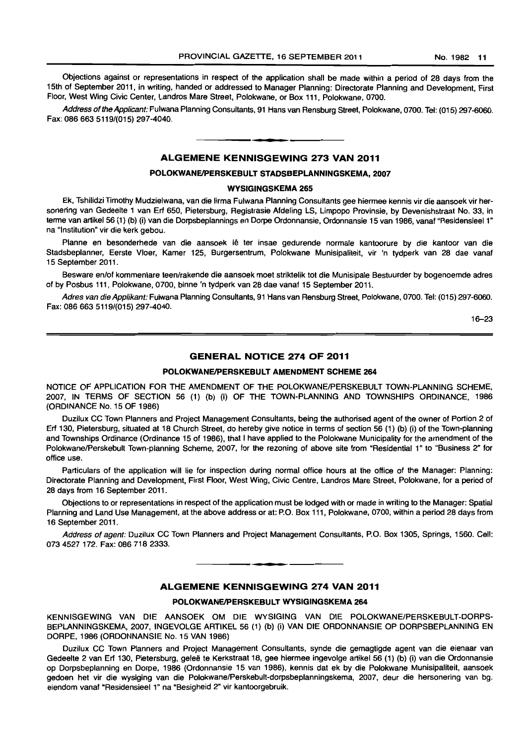Objections against or representations in respect of the application shall be made within a period of 28 days from the 15th of September 2011, in writing, handed or addressed to Manager Planning: Directorate Planning and Development, First Floor, West Wing Civic Center, Landros Mare Street, Polokwane, or Box 111, Polokwane, 0700.

Address of the Applicant: Fulwana Planning Consultants, 91 Hans van Rensburg Street, Polokwane, 0700. Tel: (015) 297-6060. Fax: 086663 5119/(015) 297-4040. **I.** 

#### **ALGEMENE KENNISGEWING 273 VAN 2011**

# **POLOKWANEIPERSKEBULT STADSBEPLANNINGSKEMA, 2007**

#### **WYSIGINGSKEMA 265**

Ek, Tshilidzi Timothy Mudzielwana, van die firma Fulwana Planning Consultants gee hiermee kennis vir die aansoek vir hersonering van Gedeelte 1 van Erf 650, Pietersburg, Registrasie Afdeling LS, Limpopo Provinsie, by Devenishstraat No. 33, in terme van artikel 56 (1) (b) (i) van die Dorpsbeplannings en Dorpe Ordonnansie, Ordonnansie 15 van 1986, vanaf "ResidensieeI1" na "Institution" vir die kerk gebou.

Planne en besonderhede van die aansoek lê ter insae gedurende normale kantoorure by die kantoor van die Stadsbeplanner, Eerste Vloer, Kamer 125, Burgersentrum, Polokwane Munisipaliteit, vir 'n tydperk van 28 dae vanaf 15 September 2011.

Besware en/of kommentare teen/rakende die aansoek moet striktelik tot die Munisipale Bestuurder by bogenoemde adres of by Posbus 111, Polokwane, 0700, binne 'n tydperk van 28 dae vanaf 15 September 2011.

Adres van die Applikant: Fulwana Planning Consultants, 91 Hans van Rensburg Street, Polokwane, 0700. Tel: (015) 297-6060. Fax: 086 663 5119/(015) 297-4040.

16-23

### **GENERAL NOTICE 274 OF 2011**

#### **POLOKWANEIPERSKEBULT AMENDMENT SCHEME 264**

NOTICE OF APPLICATION FOR THE AMENDMENT OF THE POLOKWANE/PERSKEBULT TOWN-PLANNING SCHEME, 2007, IN TERMS OF SECTION 56 (1) (b) (i) OF THE TOWN-PLANNING AND TOWNSHIPS ORDINANCE, 1986 (ORDINANCE No. 15 OF 1986)

Duzilux CC Town Planners and Project Management Consultants, being the authorised agent of the owner of Portion 2 of Erf 130, Pietersburg, situated at 18 Church Street, do hereby give notice in terms of section 56 (1) (b) (i) of the Town-planning and Townships Ordinance (Ordinance 15 of 1986), that I have applied to the Polokwane Municipality for the amendment of the Polokwane/Perskebult Town-planning Scheme, 2007, for the rezoning of above site from "Residential 1" to "Business 2" for office use.

Particulars of the application will lie for inspection during normal office hours at the office of the Manager: Planning: Directorate Planning and Development, First Floor, West Wing, Civic Centre, Landros Mare Street, Polokwane, for a period of 28 days from 16 September 2011.

Objections to or representations in respect of the application must be lodged with or made in writing to the Manager: Spatial Planning and Land Use Management, at the above address or at: P.O. Box **111,** Polokwane, 0700, within a period 28 days from 16 September 2011.

Address of agent: Duzilux CC Town Planners and Project Management Consultants, P.O. Box 1305, Springs, 1560. Cell: 073 4527 172. Fax: 086 718 2333.

**• •** 

#### **ALGEMENE KENNISGEWING 274 VAN 2011**

#### **POLOKWANEIPERSKEBULT WYSIGINGSKEMA 264**

KENNISGEWING VAN DIE AANSOEK OM DIE WVSIGING VAN DIE POLOKWANE/PERSKEBULT-DORPS-BEPLANNINGSKEMA, 2007, INGEVOLGE ARTIKEL 56 (1) (b) (i) VAN DIE ORDONNANSIE OP DORPSBEPLANNING EN DORPE, 1986 (ORDONNANSIE No. 15 VAN 1986)

Duzilux CC Town Planners and Project Management Consultants, synde die gemagtigde agent van die eienaar van Gedeelte 2 van Erf 130, Pietersburg, geleë te Kerkstraat 18, gee hiermee ingevolge artikel 56 (1) (b) (i) van die Ordonnansie op Dorpsbeplanning en Dorpe, 1986 (Ordonnansie 15 van 1986), kennis dat ek by die Polokwane Munisipaliteit, aansoek gedoen het vir die wysiging van die Polokwane/Perskebult-dorpsbeplanningskema, 2007, deur die hersonering van bg. eiendom vanaf "Residensieel 1" na "Besigheid 2" vir kantoorgebruik.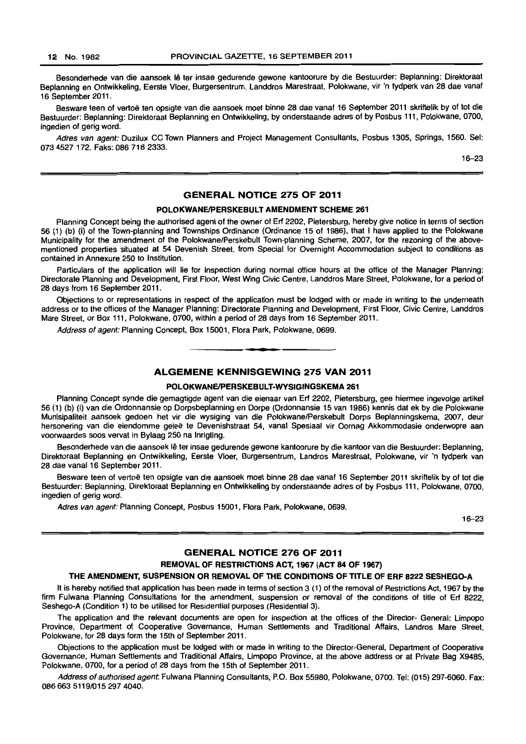Besonderhede van die aansoek lê ter insae gedurende gewone kantoorure by die Bestuurder: Beplanning: Direktoraat Beplanning en Ontwikkeling, Eerste Vloer, Burgersentrum, Landdros Marestraat, Polokwane, vir 'n tydperk van 28 dae vanaf 16 September 2011.

Besware teen of vertoë ten opsigte van die aansoek moet binne 28 dae vanaf 16 September 2011 skriftelik by of tot die Bestuurder: Beplanning: Direktoraat Beplanning en Ontwikkeling, by onderstaande adres of by Posbus 111, Polokwane, 0700, ingedien of gerig word.

Adres van agent: Duzilux CC Town Planners and Project Management Consultants, Posbus 1305, Springs, 1560. Sel: 073 4527 172. Faks: 086 718 2333.

16-23

#### GENERAL NOTICE 275 OF 2011

#### POLOKWANE/PERSKEBULT AMENDMENT SCHEME 261

Planning Concept being the authorised agent of the owner of Erf 2202, Pietersburg, hereby give notice in terms of section 56 (1) (b) (i) of the Town-planning and Townships Ordinance (Ordinance 15 of 1986), that I have applied to the Polokwane Municipality for the amendment of the Polokwane/Perskebult Town-planning Scheme, 2007, for the rezoning of the abovementioned properties situated at 54 Devenish Street, from Special for Overnight Accommodation subject to conditions as contained in Annexure 250 to Institution.

Particulars of the application will lie for inspection during normal office hours at the office of the Manager Planning: Directorate Planning and Development, First Floor, West Wing Civic Centre, Landdros Mare Street, Polokwane, for a period of 28 days from 16 September 2011.

Objections to or representations in respect of the application must be lodged with or made in writing to the underneath address or to the offices of the Manager Planning: Directorate Planning and Development, First Floor, Civic Centre, Landdros Mare Street, or Box 111, Polokwane, 0700, within a period of 28 days from 16 September 2011.

Address of agent: Planning Concept, Box 15001, Flora Park, Polokwane, 0699. . **-.** 

#### ALGEMENE KENNISGEWING 275 VAN 2011

#### POLOKWANE/PERSKEBULT-WYSIGINGSKEMA 261

Planning Concept synde die gemagtigde agent van die eienaar van Erf 2202, Pietersburg, gee hiermee ingevolge artikel 56 (1) (b) (i) van die Ordonnansie op Dorpsbeplanning en Dorpe (Ordonnansie 15 van 1986) kennis dat ek by die Polokwane Munisipaliteit aansoek gedoen het vir die wysiging van die Polokwane/Perskebult Dorps Beplanningskema, 2007, deur hersonering van die eiendomme gelee te Devenishstraat 54, vanaf Spesiaal vir Oornag Akkommodasie onderwopre aan voorwaardes soos vervat in Bylaag 250 na Inrigting.

Besonderhede van die aansoek lê ter insae gedurende gewone kantoorure by die kantoor van die Bestuurder: Beplanning, Direktoraat Beplanning en Ontwikkeling, Eerste Vloer, Burgersentrum, Landros Marestraat, Polokwane, vir 'n tydperk van 28 dae vanaf 16 September 2011.

Besware teen of vertoë ten opsigte van die aansoek moet binne 28 dae vanaf 16 September 2011 skriftelik by of tot die Bestuurder: Beplanning, Direktoraat Beplanning en Ontwikkeling by onderstaande adres of by Posbus 111, Polokwane, 0700, ingedien of gerig word.

Adres van agent: Planning Concept, Posbus 15001, Flora Park, Polokwane, 0699.

16-23

#### GENERAL NOTICE 276 OF 2011

### REMOVAL OF RESTRICTIONS ACT, 1967 (ACT 84 OF 1967)

#### THE AMENDMENT, SUSPENSION OR REMOVAL OF THE CONDITIONS OF TITLE OF ERF 8222 SESHEGO-A

It is hereby notified that application has been made in terms of section 3 (1) of the removal of Restrictions Act, 1967 by the firm Fulwana Planning Consultations for the amendment, suspension or removal of the conditions of title of Erf 8222, Seshego-A (Condition 1) to be utilised for Residential purposes (Residential 3).

The application and the relevant documents are open for inspection at the offices of the Director- General: Limpopo Province, Department of Cooperative Governance, Human Settlements and Traditional Affairs, Landros Mare Street. Polokwane, for 28 days form the 15th of September 2011.

Objections to the application must be lodged with or made in writing to the Director-General, Department of Cooperative Governance. Human Settlements and Traditional Affairs, Limpopo Province, at the above address or at Private Bag X9485, Polokwane, 0700, for a period of 28 days from the 15th of September 2011.

Address of authorised agent. Fulwana Planning Consultants, P.O. Box 55980, Polokwane, 0700. Tel: (015) 297-6060. Fax: 086 663 5119/015 297 4040.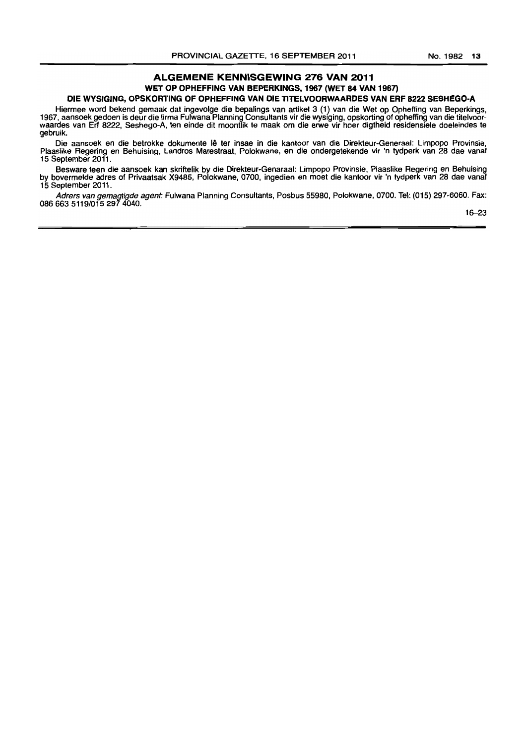#### ALGEMENE KENNISGEWING 276 VAN 2011 WET OP OPHEFFING VAN BEPERKINGS, 1967 (WET 84 VAN 1967) DIE WYSIGING, OPSKORTING OF OPHEFFING VAN DIE TITELVOORWAARDES VAN ERF 8222 SESHEGO-A

Hiermee word bekend gemaak dat ingevolge die bepalings van artikel 3 (1) van die Wet op Opheffing van Beperkings, 1967, aansoek gedoen is deur die firma Fulwana Planning Consultants vir die wysiging, opskorting of opheffing van die titelvoorwaardes van Erf 8222, Seshego-A, ten einde dit moontlik Ie maak om die erwe vir hoer digtheid residensiele doeleindes Ie gebruik.

Die aansoek en die betrokke dokumente lê ter insae in die kantoor van die Direkteur-Generaal: Limpopo Provinsie, Plaaslike Regering en Behuising, Landros Marestraat, Polokwane, en die ondergetekende vir 'n tydperk van 28 dae vanaf 15 September 2011.

Besware teen die aansoek kan skriftelik by die Direkteur-Genaraal: Limpopo Provinsie, Plaaslike Regering en Behuising by bovermelde adres of Privaatsak X9485, Polokwane, 0700, ingedien en moet die kantoor vir 'n tydperk van 28 dae vanaf 15 September 2011.

Adrers van gemagtigde agent: Fulwana Planning Consultants, Posbus 55980, Polokwane, 0700. Tel: (015) 297-6060. Fax: 0866635119/0152974040.

16-23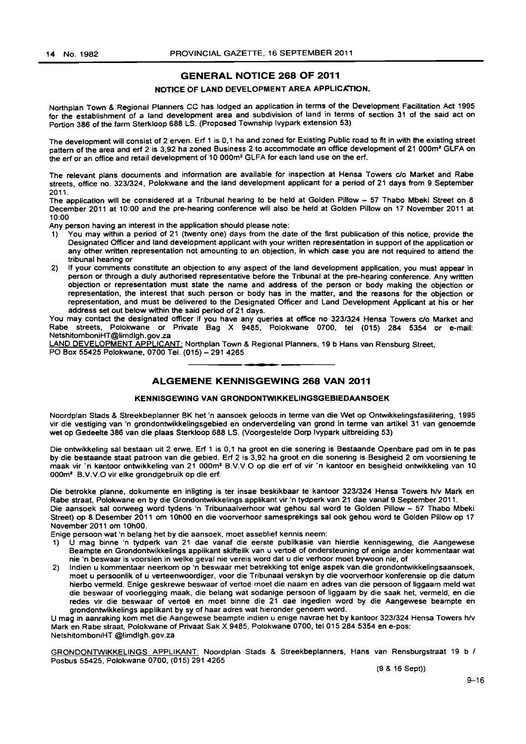# GENERAL NOTICE 268 OF 2011

#### NOTICE OF LAND DEVELOPMENT AREA APPLICATION.

Northplan Town & Regional Planners CC has lodged an application in terms of the Development Facilitation Act 1995 for the establishment of a land development area and subdivision of land in terms of section 31 of the said act on Portion 386 of the farm Sterkloop 688 LS. (Proposed Township Ivypark extension 53)

The development will consist of 2 erven. Ert 1 is 0,1 ha and zoned for Existing Public road to fit in with the existing street pattern of the area and ert 2 is 3,92 ha zoned Business 2 to accommodate an office development of 21 000m2 GLFA on the ert or an office and retail development of 10 000m2 GLFA for each land use on the ert.

The relevant plans documents and information are available for inspection at Hensa Towers c/o Market and Rabe streets, office no. *323/324,* Polokwane and the land development applicant for a period of 21 days from 9 September 2011.

The application will be considered at a Tribunal hearing to be held at Golden Pillow - 57 Thabo Mbeki Street on 8 December 2011 at 10:00 and the pre-hearing conference will also be held at Golden Pillow on 17 November 2011 at 10:00

Any person having an interest in the application should please note:

- 1) You may within a period of 21 (twenty one) days from the date of the first publication of this notice, provide the Designated Officer and land development applicant with your written representation in support of the application or any other written representation not amounting to an objection, in which case you are not required to attend the tribunal hearing or
- 2) If your comments constitute an objection to any aspect of the land development application, you must appear in person or through a duly authorised representative before the Tribunal at the pre-hearing conference. Any written objection or representation must state the name and address of the person or body making the objection or representation, the interest that such person or body has in the matter, and the reasons for the objection or representation, and must be delivered to the Designated Officer and Land Development Applicant at his or her address set out below within the said period of 21 days.

You may contact the designated officer if you have any queries at office no 323/324 Hensa Towers c/o Market and Rabe streets, Polokwane or Private Bag X 9485, Polokwane 0700, tel (015) 284 5354 or e-mail: NetshitomboniHT@limdlgh.gov.za

LAND DEVELOPMENT APPLICANT: Northplan Town & Regional Planners, 19 b Hans van Rensburg Street, PO Box 55425 Polokwane, 0700 Tel. (015) - 291 4265 . **- .** 

#### ALGEMENE KENNISGEWING 268 VAN 2011

#### KENNISGEWING VAN GRONDONTWIKKELINGSGEBIEDAANSOEK

Noordplan Stads & Streekbeplanner BK het 'n aansoek geloods in terme van die Wet op Ontwikkelingsfasilitering, 1995 vir die vestiging van 'n grondontwikkelingsgebied en onderverdeling van grond in terme van artikel 31 van genoemde wet op Gedeelte 386 van die plaas Sterkloop 688 LS. (Voorgestelde Dorp Ivypark uitbreiding 53)

Die ontwikkeling sal bestaan uit 2 erwe. Ert 1 is 0,1 ha groot en die sonering is Bestaande Openbare pad om in te pas by die bestaande staat patroon van die gebied. Ert 2 is 3,92 ha groot en die sonering is Besigheid 2 om voorsiening te maak vir 'n kantoor ontwikkeling van 21 000m<sup>2</sup> B.V.V.O op die erf of vir 'n kantoor en besigheid ontwikkeling van 10 000m2 B.V.V.O vir elke grondgebruik op die ert.

Die betrokke planne, dokumente en inligting is ter insae beskikbaar te kantoor *323/324* Hensa Towers *hlv* Mark en Rabe straat, Polokwane en by die Grondontwikkelings applikant vir 'n tydperk van 21 dae vanaf 9 September 2011. Die aansoek sal oorweeg word tydens 'n Tribunaalverhoor wat gehou sal word te Golden Pillow - 57 Thabo Mbeki

Street) op 8 Desember 2011 om 10hOO en die voorverhoor samesprekings sal ook gehou word te Golden Pillow op 17 November-2011 om 10hOO.

Enige persoon wat 'n belang het by die aansoek, moet asseblief kennis neem:

- 1) U mag binne 'n tydperk van 21 dae vanaf die eerste publikasie van hierdie kennisgewing, die Aangewese Beampte en Grondontwikkelings applikant skiftelik van u vertoë of ondersteuning of enige ander kommentaar wat nie 'n beswaar is voorsien in welke geval nie vereis word dat u die verhoor moet bywoon nie, of
- 2) Indien u kommentaar neerkom op 'n beswaar met betrekking tot enige aspek van die grondontwikkelingsaansoek, moet u persoonlik of u verteenwoordiger, voor die Tribunaal verskyn by die voorverhoor konferensie op die datum hierbo vermeld. Enige geskrewe beswaar of vertoe moet die naam en adres van die persoon of liggaam meld wat die beswaar of voorlegging maak, die belang wat sodanige persoon of liggaam by die saak het, vermeld, en die redes vir die beswaar of vertoë en moet binne die 21 dae ingedien word by die Aangewese beampte en grondontwikkelings applikant by sy of haar adres wat hieronder genoem word.

U mag in aanraking kom met die Aangewese beampte indien u enige navrae het by kantoor *323/324* Hensa Towers *h/v*  Mark en Rabe straat, Polokwane of Privaat Sak X 9485, Polokwane 0700, tel 015 284 5354 en e-pos: NetshitomboniHT @limdlgh.gov.za

GRONDONTWIKKELINGS APPLIKANT: Noordplan Stads & Streekbeplanners, Hans van Rensburgstraat 19 b I Posbus 55425, Polokwane 0700, (015) 2914265

(9 & 16 Sept))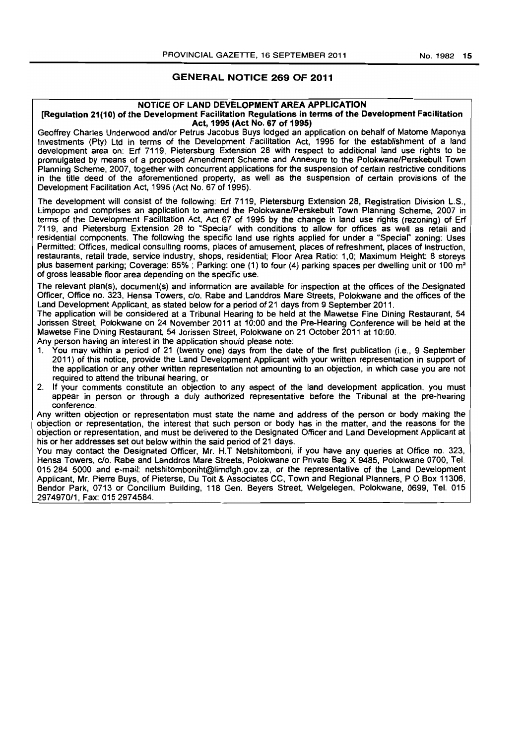#### GENERAL NOTICE 269 OF 2011

#### NOTICE OF LAND DEVELOPMENT AREA APPLICATION

#### [Regulation 21 (1 0) of the Development Facilitation Regulations in terms of the Development Facilitation Act, 1995 (Act No. 67 of 1995)

Geoffrey Charles Underwood and/or Petrus Jacobus Buys lodged an application on behalf of Matome Maponya Investments (Pty) Ltd in terms of the Development Facilitation Act, 1995 for the establishment of a land development area on: Erf 7119, Pietersburg Extension 28 with respect to additional land use rights to be promulgated by means of a proposed Amendment Scheme and Annexure to the Polokwane/Perskebult Town Planning Scheme, 2007, together with concurrent applications for the suspension of certain restrictive conditions, in the title deed of the aforementioned property, as well as the suspension of certain provisions of the Development Facilitation Act, 1995 (Act No. 67 of 1995).

The development will consist of the following: Erf 7119, Pietersburg Extension 28, Registration Division L.S., Limpopo and comprises an application to amend the Polokwane/Perskebult Town Planning Scheme, 2007 in terms of the Development Facilitation Act, Act 67 of 1995 by the change in land use rights (rezoning) of Erf 7119, and Pietersburg Extension 28 to "Special" with conditions to allow for offices as well as retail and residential components. The following the specific land use rights applied for under a "Special" zoning: Uses Permitted: Offices, medical consulting rooms, places of amusement, places of refreshment, places of instruction, restaurants, retail trade, service industry. shops, residential; Floor Area Ratio: 1,0; Maximum Height: 8 storeys plus basement parking; Coverage: 65%; Parking: one (1) to four (4) parking spaces per dwelling unit or 100 m<sup>2</sup> of gross leasable floor area depending on the specific use.

The relevant plan(s), document(s) and information are available for inspection at the offices of the Designated Officer, Office no. 323. Hensa Towers, c/o. Rabe and Landdros Mare Streets, Polokwane and the offices of the Land Development Applicant, as stated below for a period of 21 days from 9 September 2011.

The application will be considered at a Tribunal Hearing to be held at the Mawetse Fine Dining Restaurant. 54 Jorissen Street, Polokwane on 24 November 2011 at 10:00 and the Pre-Hearing Conference will be held at the Mawetse Fine Dining Restaurant, 54 Jorissen Street, Polokwane on 21 October 2011 at 10:00.

Any person having an interest in the application should please note:

- 1. You may within a period of 21 (twenty one) days from the date of the first publication (Le., 9 September 2011) of this notice, provide the Land Development Applicant with your written representation in support of' the application or any other written representation not amounting to an objection, in which case you are not required to attend the tribunal hearing, or
- 2. If your comments constitute an objection to any aspect of the land development application, you must appear in person or through a duly authorized representative before the Tribunal at the pre-hearing conference.

Any written objection or representation must state the name and address of the person or body making the objection or representation, the interest that such person or body has in the matter, and the reasons for the objection or representation, and must be delivered to the Designated Officer and Land Development Applicant at his or her addresses set out below within the said period of 21 days.

You may contact the DeSignated Officer, Mr. H.T Netshitomboni, if you have any queries at Office no. 323, Hensa Towers, c/o. Rabe and Landdros Mare Streets, Polokwane or Private Bag X 9485, Polokwane 0700, Tel. 015284 5000 and e-mail: netshitomboniht@limdlgh.gov.za. or the representative of the Land Development Applicant. Mr. Pierre Buys, of Pieterse, Du Toit & Associates CC, Town and Regional Planners, P O Box 11306, Bendor Park, 0713 or Concilium Building, 118 Gen. Beyers Street, Welgelegen, Polokwane, 0699, Tel. 015 2974970/1, Fax: 0152974584.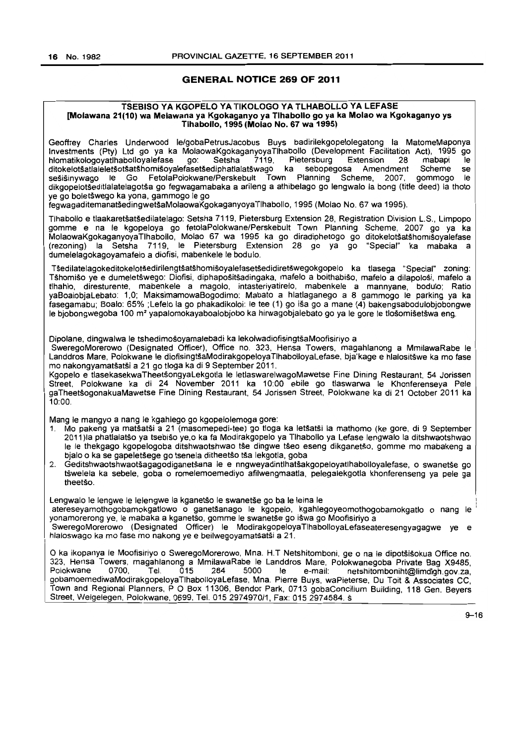#### **GENERAL NOTICE** 269 **OF** 2011

#### TSEBISO VA KGOPELO VA TIKOLOGO VA TLHABOLLO VA LEFASE [Molawana 21(10) wa Melawana ya Kgokaganyo ya Tlhabollo go ya ka Molao wa Kgokaganyo ys Tlhabollo, 1995 (Molao No. 67 wa 1995)

Geoffrey Charles Underwood le/gobaPetrusJacobus Buys badirilekgopelolegatong la MatomeMaponya Investments (pty) Ltd go ya ka MolaowaKgokaganyoyaTlhabolio (Development Facilitation Act), 1995 go hlomatikologoyatlhabolloyalefase go: Setsha 7119, Pietersburg Extension 28 mabapi le<br>ditokelotšatlaleletšotšatšhomišoyalefasetšediphatlalatšwago ka sebopegosa Amendment Scheme se ditokelotšatlaleletšotšatšhomišoyalefasetšediphatlalatšwago ka sebopegosa Amendment Scheme se<br>sešišinywago le Go FetolaPolokwane/Perskebult Town Planning Scheme, 2007, gommogo le sešišinywago Ie Go FetolaPolokwane/Perskebult Town Planning Scheme, 2007, dikgopelotseditlalatelagotsa go fegwagamabaka a arileng a athibelago go lengwalo la bong (title deed) la thoto ye go boletswego ka yona, gammogo Ie go

fegwagaditemanatsedingwetsaMolaowaKgokaganyoyaTlhabollo, 1995 (Molao No. 67 wa 1995).

Tlhabollo e tlaakaretsatsedilatelago: Setsha 7119, Pietersburg Extension 28, Registration Division L.S., Limpopo gomme e na Ie kgopeloya go fetolaPolokwane/Perskebult Town Planning Scheme, 2007 go ya ka MolaowaKgokaganyoyaTlhabollo, Molao 67 wa 1995 ka go diradiphetogo go ditokelotsatshomisoyalefase  $($ rezoning) la Setsha 7119, le Pietersburg Extension 28 go ya go dumelelagokagoyamafelo a diofisi, mabenkele Ie bodulo.

TSedilatelagokeditokelotsedirilengtsatshomisoyalefasetsedidiretswegokgopelo ka tlasega "Special" zoning: TShomiso ye e dumeletswego: Diofisi, diphapositsadingaka, mafelo a boithabiso, mafelo a dilapolosi, mafelo a tlhahlo, diresturente, mabenkele a magolo, intasteriyatirelo, mabenkele a mannyane, bodulo; Ratio yaBoalobjaLebato: 1,0; MaksimamowaBogodimo: Mabato a hlatlaganego a 8 gammogo Ie parking ya ka fasegamabu; Boalo: 65% ; Lefelo la go phakadikoloi: Ie tee (1) go isa go a mane (4) bakengsabodulobjobongwe le bjobongwegoba 100 m<sup>2</sup> yapalomokayaboalobjobo ka hirwagobjalebato go ya le gore le tlošomišetšwa eng.

Dipolane, dingwalwa le tshedimošoyamalebadi ka lekolwadiofisingtšaMoofisiriyo a

SweregoMorerowo (Designated Officer), Office no. 323, Hensa Towers, magahlanong a MmilawaRabe Ie Landdros Mare, Polokwane le diofisingtšaModirakgopeloyaTlhabolloyaLefase, bja'kage e hlalositšwe ka mo fase mo nakongyamatsatsi a 21 go tioga ka di 9 September 2011.

Kgopelo e tlasekasekwaTheetsongyaLekgotla Ie letlaswarelwagoMawetse Fine Dining Restaurant. 54 Jorissen Street, Polokwane ka di 24 November 2011 ka 10:00 ebile go tlaswarwa le Khonferenseya Pele gaTheetsogonakuaMawetse Fine Dining Restaurant, 54 Jorissen Street, Polokwane ka di 21 October 2011 ka 10:00.

Mang Ie mangyo a nang Ie kgahlego go kgopelolemoga gore:

- 1. Mo pakeng ya matšatši a 21 (masomepedi-tee) go tloga ka letšatši la mathomo (ke gore, di 9 September 2011)la phatlalatšo ya tsebišo ye,o ka fa Modirakgopelo ya Tlhabollo ya Lefase lengwalo la ditshwaotshwao le le thekgago kgopelogoba ditshwaotshwao tše dingwe tšeo eseng dikganetšo, gomme mo mabakeng a bjalo o ka se gapeletšege go tsenela ditheetšo tša lekgotla, goba
- 2. Geditshwaotshwaotšagagodiganetšana le e nngweyadintlhatšakgopeloyatlhabolloyalefase, o swanetše go tswelela ka sebele, goba 0 romelemoemediyo afilwengmaatla, pelegalekgatla khonferenseng ya pele ga theetšo

Lengwalo le lengwe le lelengwe la kganetšo le swanetše go ba le leina le atereseyamothogobamokgatlowo o ganetšanago le kgopelo, kgahlegoyeomothogobamokgatlo o nang le yonamorerong ye, Ie mabaka a kganetso, gomme Ie swanetse go iswa go Moofisiriyo a

SweregoMorerowo (Designated Officer) Ie ModirakgopeloyaTlhabolloyaLefaseateresengyagagwe ye e hlaloswago ka mo fase mo nakong ye e beilwegoyamatsatsi a 21.

O ka ikopanya le Moofisiriyo o SweregoMorerowo, Mna. H.T Netshitomboni, ge o na le dipotšišokua Office no. 323. Hensa Towers, magahlanong a MmilawaRabe Ie Landdros Mare, Polokwanegoba Private Bag X9485, netshitomboniht@limdlgh.gov.za. gobamoemediwaModirakgopeloyaTlhabolloyaLefase, Mna. Pierre Buys, waPieterse, Du Toit & Associates CC, Town and Regional Planners, POBox 11306, Bendor Park, 0713 gobaConcilium Building, 118 Gen. Beyers Street. Welgelegen, Polokwane, 0699, Tel. 015 2974970/1, Fax: 015 2974584. s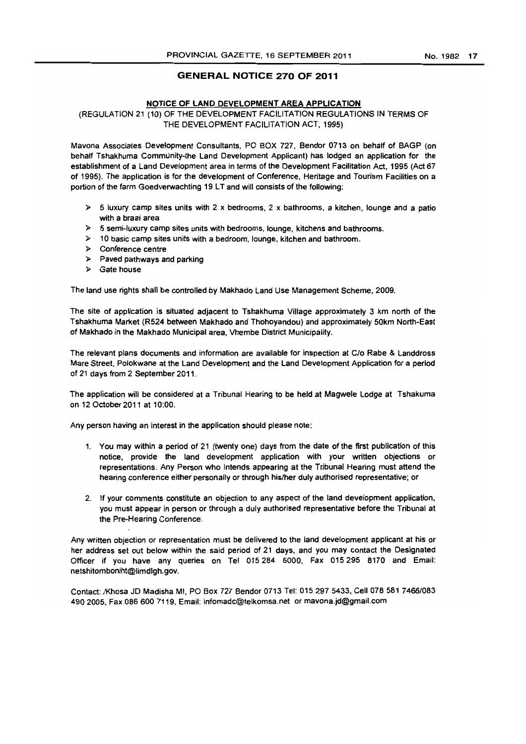#### GENERAL NOTICE 270 OF 2011

#### NOTICE OF LAND DEVELOPMENT AREA APPLICATION

#### (REGULATION 21 (10) OF THE DEVELOPMENT FACILITATION REGULATIONS IN TERMS OF THE DEVELOPMENT FACILITATION ACT, 1995)

Mavona Associates Development Consultants, PO BOX 727, Bendor 0713 on behalf of BAGP (on behalf Tshakhuma Community-the Land Development Applicant) has lodged an application for the establishment of a Land Development area in terms of the Development Facilitation Act, 1995 (Act 67 of 1995). The application is for the development of Conference, Heritage and Tourism Facilities on a portion of the farm Goedverwachting 19 LT and will consists of the following:

- $\triangleright$  5 luxury camp sites units with 2 x bedrooms, 2 x bathrooms, a kitchen, lounge and a patio with a braai area
- » 5 semi-luxury camp sites units with bedrooms, lounge, kitchens and bathrooms.
- $\geq$  10 basic camp sites units with a bedroom, lounge, kitchen and bathroom.
- » Conference centre
- » Paved pathways and parking
- » Gate house

The land use rights shall be controlled by Makhado Land Use Management Scheme, 2009.

The site of application is situated adjacent to Tshakhuma Village approximately 3 km north of the Tshakhuma Market (R524 between Makhado and Thohoyandou) and approximately 50km North-East of Makhado in the Makhado Municipal area, Vhembe District Municipality.

The relevant plans documents and information are available for inspection at C/o Rabe & Landdross Mare Street, Polokwane at the Land Development and the Land Development Application for a period of 21 days from 2 September 2011.

The application will be considered at a Tribunal Hearing to be held at Magwele Lodge at Tshakuma on 12 October 2011 at 10:00.

Any person having an interest in the application should please note:

- 1. You may within a period of 21 (twenty one) days from the date of the first publication of this notice, provide the land development application with your written objections or representations. Any Person who Intends appearing at the Tribunal Hearing must attend the hearing conference either personally or through his/her duly authorised representative; or
- 2. If your comments constitute an objection to any aspect of the land development application, you must appear in person or through a duly authorised representative before the Tribunal at the Pre-Hearing Conference.

Any written objection or representation must be delivered to the land development applicant at his or her address set out below within the said period of 21 days, and you may contact the Designated Officer jf you have any queries on Tel 015284 5000, Fax 015295 8170 and Email: netshitomboniht@limdlgh.gov.

Contact: IKhosa JD Madisha MI, PO Box 727 Bendor 0713 Tel: 0152975433, Cell *0785817466/083*  4902005, Fax 0866007119, Email: infomadc@telkomsa.net or mavona.jd@gmaiLcom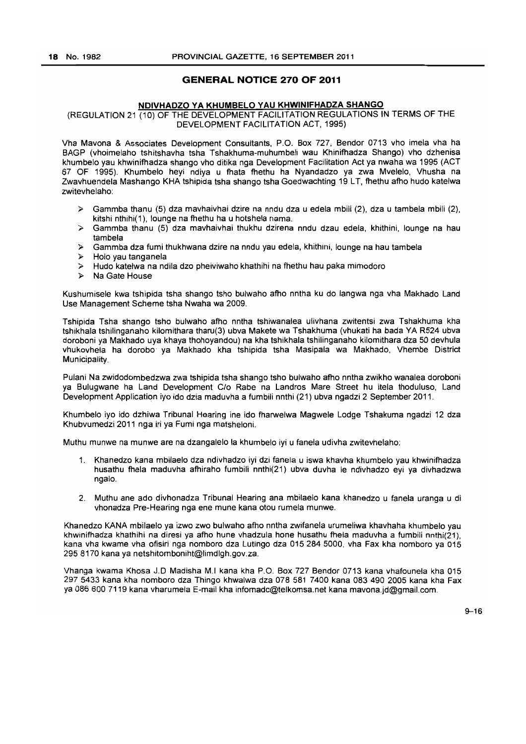#### **GENERAL NOTICE 270 OF 2011**

#### **NDIVHADZO VA KHUMBElO VAU KHWINIFHADZA SHANGO**

#### (REGULATION 21 (10) OF THE DEVELOPMENT FACILITATION REGULATIONS IN TERMS OF THE DEVELOPMENT FACILITATION ACT, 1995)

Vha Mavona & Associates Development Consultants, P.O. Box 727, Bendor 0713 vho imela vha ha BAGP (vhoimelaho tshitshavha tsha Tshakhuma-muhumbeli wau Khinifhadza Shango) vho dzhenisa khumbelo yau khwinifhadza shango vho ditika nga Development Facilitation Act ya nwaha wa 1995 (ACT 67 OF 1995). Khumbelo heyi ndiya u fhata fhethu ha Nyandadzo ya zwa Mvelelo, Vhusha na Zwayhuendela Mashango KHA tshipida tsha shango tsha Goedwachting 19 LT, fhethu afho hudo katelwa zwitevhelaho:

- $\geq$  Gammba thanu (5) dza mavhaivhai dzire na nndu dza u edela mbili (2), dza u tambela mbili (2), kitshi nthihi( 1}, lounge na fhethu ha u hotshela nama.
- ,. Gammba thanu (5) dza mavhaivhai thukhu dzirena nndu dzau edela, khithini, lounge na hau tambela
- >- Gammba dza fumi thukhwana dzire na nndu yau edela, khithini, lounge na hau tambela
- ). Holo yau tanganela
- $>$  Hudo katelwa na ndila dzo pheiviwaho khathihi na fhethu hau paka mimodoro
- Na Gate House

Kushumisele kwa tshipida tsha shango tsho bulwaho afho nntha ku do langwa nga vha Makhado Land Use Management Scheme tsha Nwaha wa 2009.

Tshipida Tsha shango tsho bulwaho afho nntha tshiwanalea ulivhana zwitentsi zwa Tshakhuma kha tshikhala tshilinganaho kilomithara tharu(3) ubva Makete wa Tshakhuma (vhukati ha bada YA R524 ubva doroboni ya Makhado uya khaya thohoyandou) na kha tshikhala tshilinganaho kilomithara dza 50 devhula vhukovhela ha dorobo ya Makhado kha tshipida tsha Masipala wa Makhado. Vhembe District Municipality.

Pulani Na zwidodombedzwa zwa tshipida tsha shango tsho bulwaho afho nntha zwikho wanalea doroboni ya Bulugwane ha Land Development C/o Rabe na Landros Mare Street hu itela thoduluso, Land Development Application iyo ido dzia maduvha a fumbili nnthi (21) ubva ngadzi 2 September 2011.

Khumbelo iyo ido dzhiwa Tribunal Hearing ine ido fharwelwa Magwele Lodge Tshakuma ngadzi 12 dza Khubvumedzi 2011 nga iri ya Fumi nga matsheloni.

Muthu munwe na munwe are na dzangalelo la khumbelo iyi u fanela udivha zwitevhelaho:

- 1. Khanedzo kana mbilaelo dza ndivhadzo iyi dzi fanela u iswa khavha khumbelo yau khwinifhadza husathu fhela maduvha afhiraho fumbili nnthi(21) ubva duvha Ie ndivhadzo eyi ya divhadzwa ngalo.
- 2. Muthu ane ado divhonadza Tribunal Hearing ana mbilaelo kana khanedzo u fanela uranga u di vhonadza Pre-Hearing nga ene mune kana otou rumela munwe.

Khanedzo KANA mbilaelo ya izwo zwo bulwaho afho nntha zwifanela urumeliwa khavhaha khumbelo yau khwinifhadza khathihi na diresi ya afho hune vhadzula hone husathu fhela maduvha a fumbili nnthi(21), kana vha kwame vha ofisiri nga nomboro dza Lutingo dza 0152845000, vha Fax kha nomboro ya 015 2958170 kana ya netshitomboniht@limdlgh.gov.za.

Vhanga kwama Khosa J.D Madisha M.I kana kha P.O. Box 727 Bendor 0713 kana vhafounela kha 015 297 5433 kana kha nomboro dza Thingo khwalwa dza 078 581 7400 kana 083 490 2005 kana kha Fax ya 086 600 7119 kana vharumela E-mail kha infomadc@telkomsa.net kana mavona.jd@gmail.com.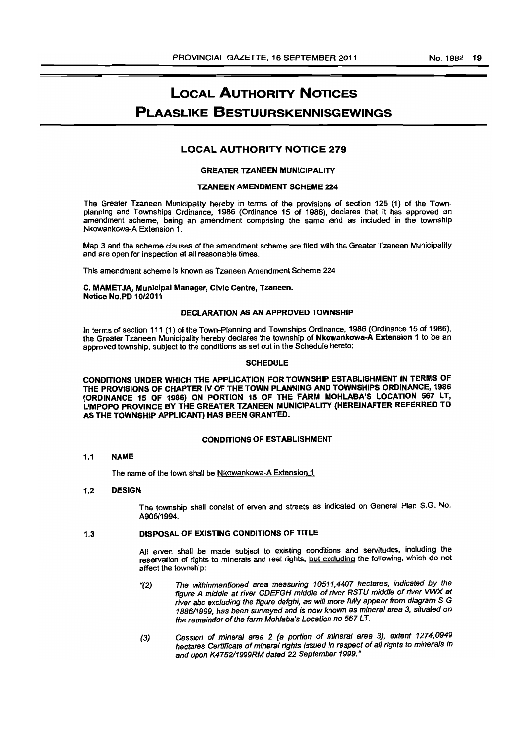# LOCAL AUTHORITY NOTICES PLAASLIKE BESTUURSKENNISGEWINGS

### LOCAL AUTHORITY NOTICE 279

#### GREATER TZANEEN MUNICIPALITY

#### TZANEEN AMENDMENT SCHEME 224

The Greater Tzaneen Municipality hereby in terms of the provisions of section 125 (1) of the Townplanning and Townships Ordinance, 1986 (Ordinance 15 of 1986), declares that it has approved an amendment scheme, being an amendment comprising the same land as included in the township Nkowankowa-A Extension 1.

Map 3 and the scheme clauses of the amendment scheme are filed with the Greater Tzaneen Municipality and are open for inspection at all reasonable times.

This amendment scheme is known as Tzaneen Amendment Scheme 224

#### C. MAMETJA, MunIcipal Manager, Civic Centre, Tzaneen. Notioo No.PD 1012011

#### DECLARATION AS AN APPROVED TOWNSHIP

In terms of section 111 (1) of the Town-Planning and Townships Ordinance, 1986 (Ordinance 15 of 1986), the Greater Tzaneen Municipality hereby declares the township of Nkowankowa-A Extension 1 to be an approved township, subject to the conditions as set out in the Schedule hereto:

#### **SCHEDULE**

CONDITIONS UNDER WHICH THE APPLICATION FOR TOWNSHIP ESTABLISHMENT IN TERMS OF THE PROVISIONS OF CHAPTER IV OF THE TOWN PLANNING AND TOWNSHIPS ORDINANCE, 1986 (ORDINANCE 15 OF 1986) ON PORTION 15 OF THE FARM MOHLABA'S LOCATION 567 LT, LIMPOPO PROVINCE BY THE GREATER TZANEEN MUNICIPALITY (HEREINAFTER REFERRED TO AS THE TOWNSHIP APPLICANT) HAS BEEN GRANTED.

#### CONDITIONS OF ESTABLISHMENT

#### 1.1 NAME

The name of the town shall be Nkowankowa-A Extension 1

#### 1.2 DESIGN

The township shall consist of erven and streets as Indicated on General Plan S.G. No. *A905/1994.* 

#### 1.3 DISPOSAL OF EXISTING CONDITIONS OF TITLE

All erven shall be made subject to existing conditions and servitudes, including the reservation of rights to minerals and real rights. but excluding the following, which do not affect the township:

- *"(2)* The withinmentioned area measuring *10511,4407* hectares, indicated *by* the figure A middle at river CDEFGH middle of river RSTU middle of river VWX at river abc excluding the figure defghi, as *will* more fully appear from diagram S G *188611999,* has been surveyed and is now known as minersl area 3, situated on the remainder of the farm Mohlaba's Location no 567 LT.
- (3) Cession of mineral srea 2 (a portion of mineral area 3), extent 1274,0949 hectares Certificate of minerai rights Issued in respect of all rights to minerals in and upon K4752/1999RM dated 22 September 1999."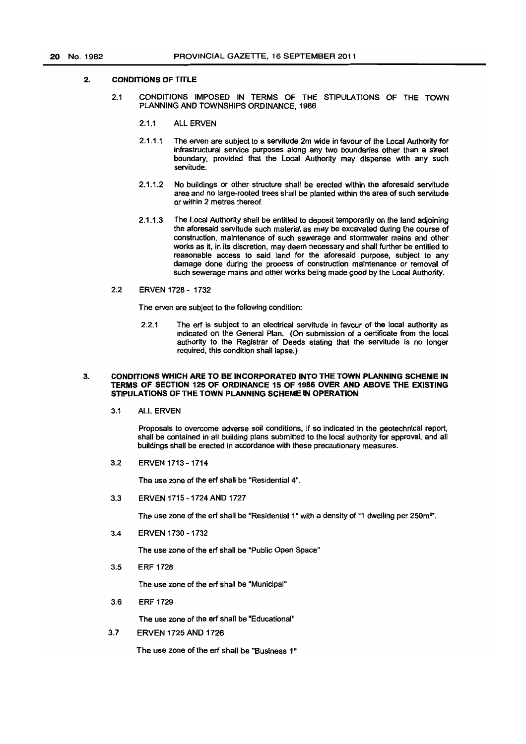#### 2. CONDITIONS OF TITLE

- 2.1 CONDITIONS IMPOSED IN TERMS OF THE STIPULATIONS OF THE TOWN PLANNING AND TOWNSHIPS ORDINANCE, 1966
	- 2.1.1 ALL ERVEN
	- 2.1.1.1 The erven are subject to a servitude 2m wide in favour of the Local Authority for infrastructural service purposes along any two boundaries other than a street boundary, provided that the local Authority may dispense with any such servitude.
	- 2.1.1.2 No buildings or other structure shall be erected within the aforesaid servitude area and no large-rooted trees shall be planted within the area of such servitude or within 2 metres thereof.
	- 2.1.1.3 The Local Authority shall be entitled to deposit temporarily on the land adjoining the aforesaid servitude such material as may be excavated during the course of construction, maintenance of such sewerage and stormwater mains and other works as it, in its discretion, may deem necessary and shall further be entitled to reasonable access to said land for the aforesaid purpose, subject to any damage done during the process of construction maintenance or removal of such sewerage mains and other works being made good by the Local Authority.
- 2.2 ERVEN 1728 1732

The erven are subject to the following condition:

2.2.1 The erf is subject to an electrical servitude in favour of the local authority as indicated on the General Plan. (On submission of a certificate from the local authority to the Registrar of Deeds stating that the servitude is no longer required, this condition shall lapse.)

#### 3. CONDITIONS WHICH ARE TO BE INCORPORATED INTO THE TOWN PlANNING SCHEME IN TERMS OF SECTION 125 OF ORDINANCE 15 OF 1986 OVER AND ABOVE THE EXISTING STIPULATIONS OF THE TOWN PLANNING SCHEME IN OPERATION

3.1 ALL ERVEN

Proposals to overcome adverse soil conditions, if so indicated in the geotechnical report, shall be contained in all building plans submitted to the local authority for approval, and all buildings shall be erected in accordance with these precautionary measures.

3.2 ERVEN 1713 -1714

The use zone of the erf shall be "Residential 4".

3.3 ERVEN 1715 - 1724 AND 1727

The use zone of the erf shall be "Residential 1" with a density of "1 dwelling per 250m<sup>2"</sup>.

3.4 ERVEN 1730 - 1732

The use zone of the erf shall be "Public Open Space"

3.5 ERF 1728

The use zone of the erf shall be "Municipal"

3.6 ERF 1729

The use zone of the art shall be "Educational"

3.7 ERVEN 1725 AND 1726

The use zone of the erf shall be "Business 1"